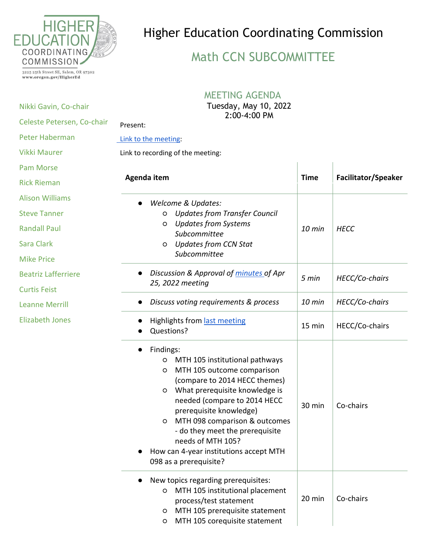

## Higher Education Coordinating Commission

## Math CCN SUBCOMMITTEE

3225 25th Street SE, Salem, OR 97302 www.oregon.gov/HigherEd

Nikki Gavin, Co-chair

## MEETING AGENDA

Tuesday, May 10, 2022 2:00-4:00 PM

| Celeste Petersen, Co-chair | <b>L.UU-4.UU PIN</b><br>Present:                                                                                                                                                                                                                                                                                                                                                               |                         |                            |  |
|----------------------------|------------------------------------------------------------------------------------------------------------------------------------------------------------------------------------------------------------------------------------------------------------------------------------------------------------------------------------------------------------------------------------------------|-------------------------|----------------------------|--|
| <b>Peter Haberman</b>      | Link to the meeting:<br>Link to recording of the meeting:                                                                                                                                                                                                                                                                                                                                      |                         |                            |  |
| <b>Vikki Maurer</b>        |                                                                                                                                                                                                                                                                                                                                                                                                |                         |                            |  |
| <b>Pam Morse</b>           |                                                                                                                                                                                                                                                                                                                                                                                                |                         |                            |  |
| <b>Rick Rieman</b>         | Agenda item                                                                                                                                                                                                                                                                                                                                                                                    | <b>Time</b>             | <b>Facilitator/Speaker</b> |  |
| <b>Alison Williams</b>     | <b>Welcome &amp; Updates:</b>                                                                                                                                                                                                                                                                                                                                                                  |                         |                            |  |
| <b>Steve Tanner</b>        | <b>Updates from Transfer Council</b><br>O                                                                                                                                                                                                                                                                                                                                                      |                         |                            |  |
| <b>Randall Paul</b>        | <b>Updates from Systems</b><br>O<br>Subcommittee                                                                                                                                                                                                                                                                                                                                               | <b>HECC</b><br>$10$ min |                            |  |
| <b>Sara Clark</b>          | <b>Updates from CCN Stat</b><br>O                                                                                                                                                                                                                                                                                                                                                              |                         |                            |  |
| <b>Mike Price</b>          | Subcommittee                                                                                                                                                                                                                                                                                                                                                                                   |                         |                            |  |
| <b>Beatriz Lafferriere</b> | Discussion & Approval of minutes of Apr<br>25, 2022 meeting                                                                                                                                                                                                                                                                                                                                    | 5 min                   | HECC/Co-chairs             |  |
| <b>Curtis Feist</b>        |                                                                                                                                                                                                                                                                                                                                                                                                |                         |                            |  |
| <b>Leanne Merrill</b>      | Discuss voting requirements & process<br>$\bullet$                                                                                                                                                                                                                                                                                                                                             | $10$ min                | HECC/Co-chairs             |  |
| <b>Elizabeth Jones</b>     | Highlights from last meeting<br>Questions?                                                                                                                                                                                                                                                                                                                                                     | 15 min                  | HECC/Co-chairs             |  |
|                            | Findings:<br>MTH 105 institutional pathways<br>O<br>MTH 105 outcome comparison<br>O<br>(compare to 2014 HECC themes)<br>What prerequisite knowledge is<br>$\circ$<br>needed (compare to 2014 HECC<br>prerequisite knowledge)<br>MTH 098 comparison & outcomes<br>O<br>- do they meet the prerequisite<br>needs of MTH 105?<br>How can 4-year institutions accept MTH<br>098 as a prerequisite? | 30 min                  | Co-chairs                  |  |
|                            | New topics regarding prerequisites:<br>MTH 105 institutional placement<br>$\circ$<br>process/test statement<br>MTH 105 prerequisite statement<br>$\circ$<br>MTH 105 corequisite statement<br>O                                                                                                                                                                                                 | 20 min                  | Co-chairs                  |  |